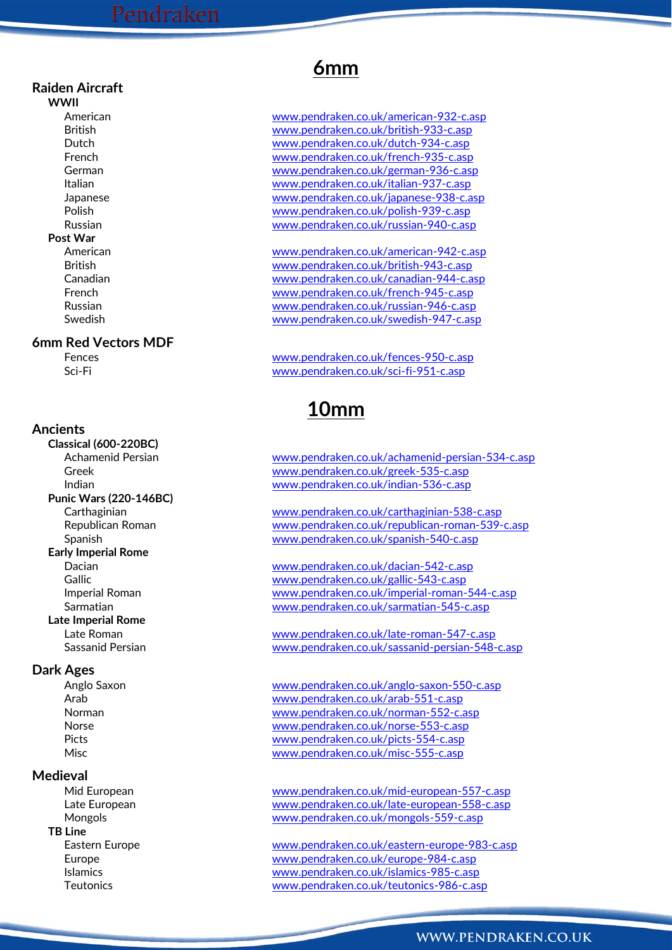### **Raiden Aircraft**

**WWII Post War**

### **6mm Red Vectors MDF**

### **Ancients**

**Classical (600-220BC) Punic Wars (220-146BC) Early Imperial Rome Late Imperial Rome**

### **Dark Ages**

### **Medieval**

**TB Line**

## **6mm**

American [www.pendraken.co.uk/american-932-c.asp](http://www.pendraken.co.uk/american-932-c.asp) British [www.pendraken.co.uk/british-933-c.asp](http://www.pendraken.co.uk/british-933-c.asp) Dutch [www.pendraken.co.uk/dutch-934-c.asp](http://www.pendraken.co.uk/dutch-934-c.asp) French [www.pendraken.co.uk/french-935-c.asp](http://www.pendraken.co.uk/french-935-c.asp) German [www.pendraken.co.uk/german-936-c.asp](http://www.pendraken.co.uk/german-936-c.asp) Italian [www.pendraken.co.uk/italian-937-c.asp](http://www.pendraken.co.uk/italian-937-c.asp) Japanese [www.pendraken.co.uk/japanese-938-c.asp](http://www.pendraken.co.uk/japanese-938-c.asp) Polish [www.pendraken.co.uk/polish-939-c.asp](http://www.pendraken.co.uk/polish-939-c.asp) Russian [www.pendraken.co.uk/russian-940-c.asp](http://www.pendraken.co.uk/russian-940-c.asp)

American [www.pendraken.co.uk/american-942-c.asp](http://www.pendraken.co.uk/american-942-c.asp) British [www.pendraken.co.uk/british-943-c.asp](http://www.pendraken.co.uk/british-943-c.asp) Canadian [www.pendraken.co.uk/canadian-944-c.asp](http://www.pendraken.co.uk/canadian-944-c.asp) French [www.pendraken.co.uk/french-945-c.asp](http://www.pendraken.co.uk/french-945-c.asp) Russian [www.pendraken.co.uk/russian-946-c.asp](http://www.pendraken.co.uk/russian-946-c.asp) Swedish [www.pendraken.co.uk/swedish-947-c.asp](http://www.pendraken.co.uk/swedish-947-c.asp)

Fences [www.pendraken.co.uk/fences-950-c.asp](http://www.pendraken.co.uk/fences-950-c.asp) Sci-Fi [www.pendraken.co.uk/sci-fi-951-c.asp](http://www.pendraken.co.uk/sci-fi-951-c.asp)

## **10mm**

Achamenid Persian [www.pendraken.co.uk/achamenid-persian-534-c.asp](http://www.pendraken.co.uk/achamenid-persian-534-c.asp) Greek [www.pendraken.co.uk/greek-535-c.asp](http://www.pendraken.co.uk/greek-535-c.asp) Indian [www.pendraken.co.uk/indian-536-c.asp](http://www.pendraken.co.uk/indian-536-c.asp)

Carthaginian [www.pendraken.co.uk/carthaginian-538-c.asp](http://www.pendraken.co.uk/carthaginian-538-c.asp) Republican Roman [www.pendraken.co.uk/republican-roman-539-c.asp](http://www.pendraken.co.uk/republican-roman-539-c.asp) Spanish [www.pendraken.co.uk/spanish-540-c.asp](http://www.pendraken.co.uk/spanish-540-c.asp)

Dacian [www.pendraken.co.uk/dacian-542-c.asp](http://www.pendraken.co.uk/dacian-542-c.asp) Gallic [www.pendraken.co.uk/gallic-543-c.asp](http://www.pendraken.co.uk/gallic-543-c.asp) Imperial Roman [www.pendraken.co.uk/imperial-roman-544-c.asp](http://www.pendraken.co.uk/imperial-roman-544-c.asp) Sarmatian [www.pendraken.co.uk/sarmatian-545-c.asp](http://www.pendraken.co.uk/sarmatian-545-c.asp)

Late Roman [www.pendraken.co.uk/late-roman-547-c.asp](http://www.pendraken.co.uk/late-roman-547-c.asp) Sassanid Persian [www.pendraken.co.uk/sassanid-persian-548-c.asp](http://www.pendraken.co.uk/sassanid-persian-548-c.asp)

Anglo Saxon [www.pendraken.co.uk/anglo-saxon-550-c.asp](http://www.pendraken.co.uk/anglo-saxon-550-c.asp) Arab [www.pendraken.co.uk/arab-551-c.asp](http://www.pendraken.co.uk/arab-551-c.asp) Norman [www.pendraken.co.uk/norman-552-c.asp](http://www.pendraken.co.uk/norman-552-c.asp) Norse [www.pendraken.co.uk/norse-553-c.asp](http://www.pendraken.co.uk/norse-553-c.asp) Picts [www.pendraken.co.uk/picts-554-c.asp](http://www.pendraken.co.uk/picts-554-c.asp) Misc [www.pendraken.co.uk/misc-555-c.asp](http://www.pendraken.co.uk/misc-555-c.asp)

Mid European [www.pendraken.co.uk/mid-european-557-c.asp](http://www.pendraken.co.uk/mid-european-557-c.asp) Late European [www.pendraken.co.uk/late-european-558-c.asp](http://www.pendraken.co.uk/late-european-558-c.asp) Mongols [www.pendraken.co.uk/mongols-559-c.asp](http://www.pendraken.co.uk/mongols-559-c.asp)

Eastern Europe [www.pendraken.co.uk/eastern-europe-983-c.asp](http://www.pendraken.co.uk/eastern-europe-983-c.asp) Europe [www.pendraken.co.uk/europe-984-c.asp](http://www.pendraken.co.uk/europe-984-c.asp) Islamics [www.pendraken.co.uk/islamics-985-c.asp](http://www.pendraken.co.uk/islamics-985-c.asp) Teutonics [www.pendraken.co.uk/teutonics-986-c.asp](http://www.pendraken.co.uk/teutonics-986-c.asp)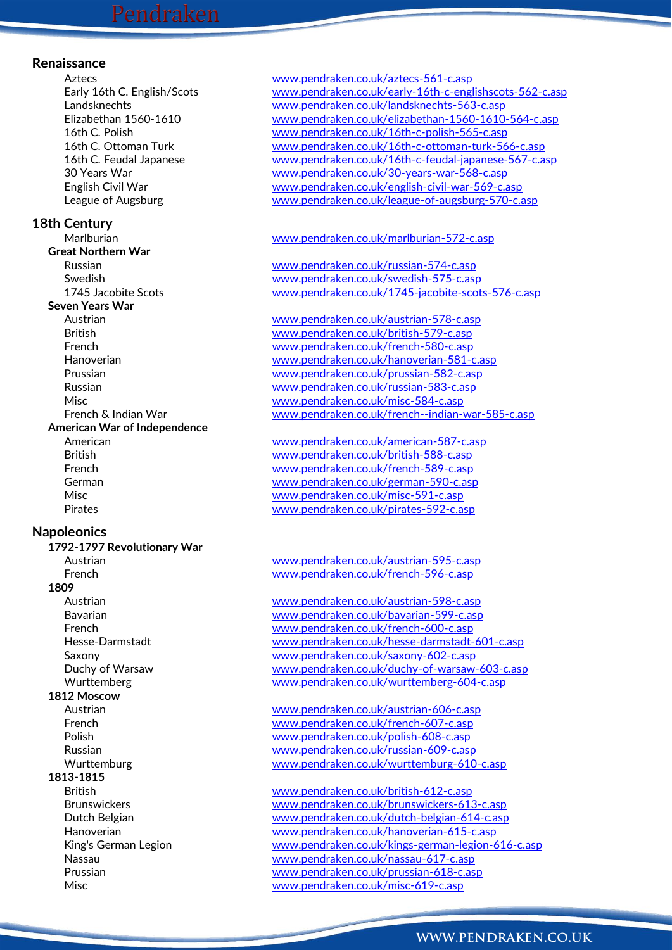### **Renaissance**

### **18th Century**

**Great Northern War Seven Years War American War of Independence**

### **Napoleonics**

- **1792-1797 Revolutionary War 1809 1812 Moscow**
	-

### **1813-1815**

Aztecs [www.pendraken.co.uk/aztecs-561-c.asp](http://www.pendraken.co.uk/aztecs-561-c.asp) Early 16th C. English/Scots [www.pendraken.co.uk/early-16th-c-englishscots-562-c.asp](http://www.pendraken.co.uk/early-16th-c-englishscots-562-c.asp) Landsknechts [www.pendraken.co.uk/landsknechts-563-c.asp](http://www.pendraken.co.uk/landsknechts-563-c.asp) Elizabethan 1560-1610 [www.pendraken.co.uk/elizabethan-1560-1610-564-c.asp](http://www.pendraken.co.uk/elizabethan-1560-1610-564-c.asp) 16th C. Polish [www.pendraken.co.uk/16th-c-polish-565-c.asp](http://www.pendraken.co.uk/16th-c-polish-565-c.asp) 16th C. Ottoman Turk [www.pendraken.co.uk/16th-c-ottoman-turk-566-c.asp](http://www.pendraken.co.uk/16th-c-ottoman-turk-566-c.asp) 16th C. Feudal Japanese [www.pendraken.co.uk/16th-c-feudal-japanese-567-c.asp](http://www.pendraken.co.uk/16th-c-feudal-japanese-567-c.asp) 30 Years War [www.pendraken.co.uk/30-years-war-568-c.asp](http://www.pendraken.co.uk/30-years-war-568-c.asp) English Civil War [www.pendraken.co.uk/english-civil-war-569-c.asp](http://www.pendraken.co.uk/english-civil-war-569-c.asp) League of Augsburg [www.pendraken.co.uk/league-of-augsburg-570-c.asp](http://www.pendraken.co.uk/league-of-augsburg-570-c.asp)

### Marlburian [www.pendraken.co.uk/marlburian-572-c.asp](http://www.pendraken.co.uk/marlburian-572-c.asp)

Russian [www.pendraken.co.uk/russian-574-c.asp](http://www.pendraken.co.uk/russian-574-c.asp) Swedish [www.pendraken.co.uk/swedish-575-c.asp](http://www.pendraken.co.uk/swedish-575-c.asp) 1745 Jacobite Scots [www.pendraken.co.uk/1745-jacobite-scots-576-c.asp](http://www.pendraken.co.uk/1745-jacobite-scots-576-c.asp)

Austrian [www.pendraken.co.uk/austrian-578-c.asp](http://www.pendraken.co.uk/austrian-578-c.asp) British [www.pendraken.co.uk/british-579-c.asp](http://www.pendraken.co.uk/british-579-c.asp) French [www.pendraken.co.uk/french-580-c.asp](http://www.pendraken.co.uk/french-580-c.asp) Hanoverian [www.pendraken.co.uk/hanoverian-581-c.asp](http://www.pendraken.co.uk/hanoverian-581-c.asp) Prussian [www.pendraken.co.uk/prussian-582-c.asp](http://www.pendraken.co.uk/prussian-582-c.asp) Russian [www.pendraken.co.uk/russian-583-c.asp](http://www.pendraken.co.uk/russian-583-c.asp) Misc [www.pendraken.co.uk/misc-584-c.asp](http://www.pendraken.co.uk/misc-584-c.asp) French & Indian War [www.pendraken.co.uk/french--indian-war-585-c.asp](http://www.pendraken.co.uk/french--indian-war-585-c.asp)

American [www.pendraken.co.uk/american-587-c.asp](http://www.pendraken.co.uk/american-587-c.asp) British [www.pendraken.co.uk/british-588-c.asp](http://www.pendraken.co.uk/british-588-c.asp) French [www.pendraken.co.uk/french-589-c.asp](http://www.pendraken.co.uk/french-589-c.asp) German [www.pendraken.co.uk/german-590-c.asp](http://www.pendraken.co.uk/german-590-c.asp) Misc [www.pendraken.co.uk/misc-591-c.asp](http://www.pendraken.co.uk/misc-591-c.asp) Pirates [www.pendraken.co.uk/pirates-592-c.asp](http://www.pendraken.co.uk/pirates-592-c.asp)

Austrian [www.pendraken.co.uk/austrian-595-c.asp](http://www.pendraken.co.uk/austrian-595-c.asp) French [www.pendraken.co.uk/french-596-c.asp](http://www.pendraken.co.uk/french-596-c.asp)

Austrian [www.pendraken.co.uk/austrian-598-c.asp](http://www.pendraken.co.uk/austrian-598-c.asp) Bavarian [www.pendraken.co.uk/bavarian-599-c.asp](http://www.pendraken.co.uk/bavarian-599-c.asp) French [www.pendraken.co.uk/french-600-c.asp](http://www.pendraken.co.uk/french-600-c.asp) Hesse-Darmstadt [www.pendraken.co.uk/hesse-darmstadt-601-c.asp](http://www.pendraken.co.uk/hesse-darmstadt-601-c.asp) Saxony [www.pendraken.co.uk/saxony-602-c.asp](http://www.pendraken.co.uk/saxony-602-c.asp) Duchy of Warsaw [www.pendraken.co.uk/duchy-of-warsaw-603-c.asp](http://www.pendraken.co.uk/duchy-of-warsaw-603-c.asp) Wurttemberg [www.pendraken.co.uk/wurttemberg-604-c.asp](http://www.pendraken.co.uk/wurttemberg-604-c.asp)

Austrian [www.pendraken.co.uk/austrian-606-c.asp](http://www.pendraken.co.uk/austrian-606-c.asp) French [www.pendraken.co.uk/french-607-c.asp](http://www.pendraken.co.uk/french-607-c.asp) Polish [www.pendraken.co.uk/polish-608-c.asp](http://www.pendraken.co.uk/polish-608-c.asp) Russian [www.pendraken.co.uk/russian-609-c.asp](http://www.pendraken.co.uk/russian-609-c.asp) Wurttemburg [www.pendraken.co.uk/wurttemburg-610-c.asp](http://www.pendraken.co.uk/wurttemburg-610-c.asp)

British [www.pendraken.co.uk/british-612-c.asp](http://www.pendraken.co.uk/british-612-c.asp) Brunswickers [www.pendraken.co.uk/brunswickers-613-c.asp](http://www.pendraken.co.uk/brunswickers-613-c.asp) Dutch Belgian [www.pendraken.co.uk/dutch-belgian-614-c.asp](http://www.pendraken.co.uk/dutch-belgian-614-c.asp) Hanoverian [www.pendraken.co.uk/hanoverian-615-c.asp](http://www.pendraken.co.uk/hanoverian-615-c.asp) King's German Legion [www.pendraken.co.uk/kings-german-legion-616-c.asp](http://www.pendraken.co.uk/kings-german-legion-616-c.asp) Nassau [www.pendraken.co.uk/nassau-617-c.asp](http://www.pendraken.co.uk/nassau-617-c.asp) Prussian [www.pendraken.co.uk/prussian-618-c.asp](http://www.pendraken.co.uk/prussian-618-c.asp) Misc [www.pendraken.co.uk/misc-619-c.asp](http://www.pendraken.co.uk/misc-619-c.asp)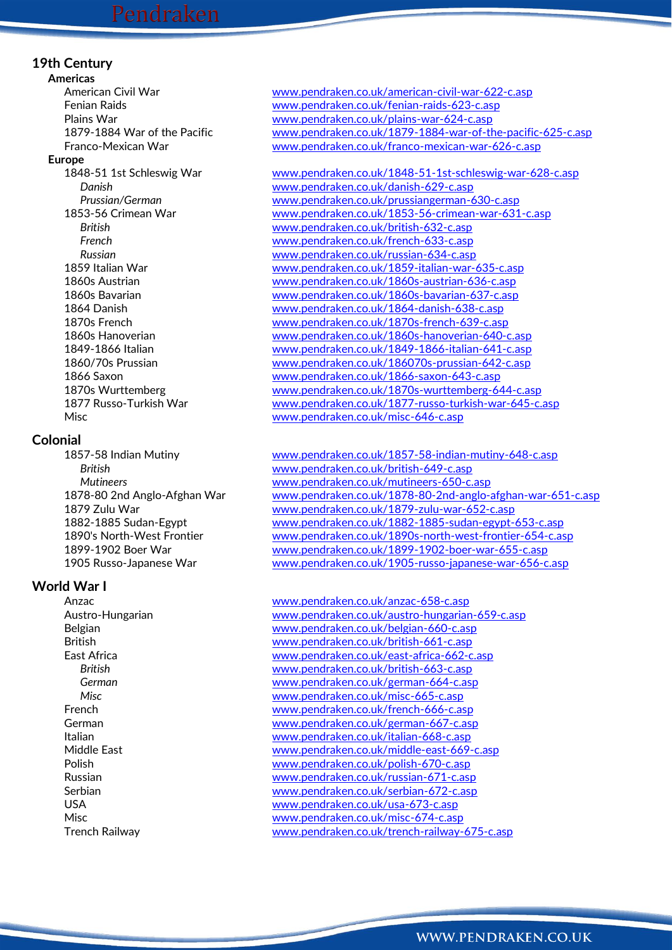### **19th Century**

**Americas**

### **Europe**

### **Colonial**

### **World War I**

American Civil War [www.pendraken.co.uk/american-civil-war-622-c.asp](http://www.pendraken.co.uk/american-civil-war-622-c.asp) Fenian Raids [www.pendraken.co.uk/fenian-raids-623-c.asp](http://www.pendraken.co.uk/fenian-raids-623-c.asp) Plains War<br>
1879-1884 War of the Pacific WWW.pendraken.co.uk/plains-war-624-c.asp<br>
WWW.pendraken.co.uk/1879-1884-war-of-th [www.pendraken.co.uk/1879-1884-war-of-the-pacific-625-c.asp](http://www.pendraken.co.uk/1879-1884-war-of-the-pacific-625-c.asp) Franco-Mexican War [www.pendraken.co.uk/franco-mexican-war-626-c.asp](http://www.pendraken.co.uk/franco-mexican-war-626-c.asp)

1848-51 1st Schleswig War [www.pendraken.co.uk/1848-51-1st-schleswig-war-628-c.asp](http://www.pendraken.co.uk/1848-51-1st-schleswig-war-628-c.asp) *Danish* [www.pendraken.co.uk/danish-629-c.asp](http://www.pendraken.co.uk/danish-629-c.asp) *Prussian/German* [www.pendraken.co.uk/prussiangerman-630-c.asp](http://www.pendraken.co.uk/prussiangerman-630-c.asp) 1853-56 Crimean War [www.pendraken.co.uk/1853-56-crimean-war-631-c.asp](http://www.pendraken.co.uk/1853-56-crimean-war-631-c.asp) *British* [www.pendraken.co.uk/british-632-c.asp](http://www.pendraken.co.uk/british-632-c.asp) *French* [www.pendraken.co.uk/french-633-c.asp](http://www.pendraken.co.uk/french-633-c.asp) *Russian* [www.pendraken.co.uk/russian-634-c.asp](http://www.pendraken.co.uk/russian-634-c.asp) 1859 Italian War [www.pendraken.co.uk/1859-italian-war-635-c.asp](http://www.pendraken.co.uk/1859-italian-war-635-c.asp) 1860s Austrian [www.pendraken.co.uk/1860s-austrian-636-c.asp](http://www.pendraken.co.uk/1860s-austrian-636-c.asp) 1860s Bavarian [www.pendraken.co.uk/1860s-bavarian-637-c.asp](http://www.pendraken.co.uk/1860s-bavarian-637-c.asp) 1864 Danish [www.pendraken.co.uk/1864-danish-638-c.asp](http://www.pendraken.co.uk/1864-danish-638-c.asp) 1870s French [www.pendraken.co.uk/1870s-french-639-c.asp](http://www.pendraken.co.uk/1870s-french-639-c.asp) 1860s Hanoverian [www.pendraken.co.uk/1860s-hanoverian-640-c.asp](http://www.pendraken.co.uk/1860s-hanoverian-640-c.asp) 1849-1866 Italian [www.pendraken.co.uk/1849-1866-italian-641-c.asp](http://www.pendraken.co.uk/1849-1866-italian-641-c.asp)<br>1860/70s Prussian www.pendraken.co.uk/186070s-prussian-642-c.asp [www.pendraken.co.uk/186070s-prussian-642-c.asp](http://www.pendraken.co.uk/186070s-prussian-642-c.asp) 1866 Saxon [www.pendraken.co.uk/1866-saxon-643-c.asp](http://www.pendraken.co.uk/1866-saxon-643-c.asp) 1870s Wurttemberg [www.pendraken.co.uk/1870s-wurttemberg-644-c.asp](http://www.pendraken.co.uk/1870s-wurttemberg-644-c.asp) 1877 Russo-Turkish War [www.pendraken.co.uk/1877-russo-turkish-war-645-c.asp](http://www.pendraken.co.uk/1877-russo-turkish-war-645-c.asp) Misc [www.pendraken.co.uk/misc-646-c.asp](http://www.pendraken.co.uk/misc-646-c.asp)

1857-58 Indian Mutiny [www.pendraken.co.uk/1857-58-indian-mutiny-648-c.asp](http://www.pendraken.co.uk/1857-58-indian-mutiny-648-c.asp) *British* [www.pendraken.co.uk/british-649-c.asp](http://www.pendraken.co.uk/british-649-c.asp) *Mutineers* [www.pendraken.co.uk/mutineers-650-c.asp](http://www.pendraken.co.uk/mutineers-650-c.asp) 1878-80 2nd Anglo-Afghan War [www.pendraken.co.uk/1878-80-2nd-anglo-afghan-war-651-c.asp](http://www.pendraken.co.uk/1878-80-2nd-anglo-afghan-war-651-c.asp) 1879 Zulu War [www.pendraken.co.uk/1879-zulu-war-652-c.asp](http://www.pendraken.co.uk/1879-zulu-war-652-c.asp) 1882-1885 Sudan-Egypt [www.pendraken.co.uk/1882-1885-sudan-egypt-653-c.asp](http://www.pendraken.co.uk/1882-1885-sudan-egypt-653-c.asp) 1890's North-West Frontier [www.pendraken.co.uk/1890s-north-west-frontier-654-c.asp](http://www.pendraken.co.uk/1890s-north-west-frontier-654-c.asp) 1899-1902 Boer War [www.pendraken.co.uk/1899-1902-boer-war-655-c.asp](http://www.pendraken.co.uk/1899-1902-boer-war-655-c.asp) 1905 Russo-Japanese War [www.pendraken.co.uk/1905-russo-japanese-war-656-c.asp](http://www.pendraken.co.uk/1905-russo-japanese-war-656-c.asp)

Anzac [www.pendraken.co.uk/anzac-658-c.asp](http://www.pendraken.co.uk/anzac-658-c.asp) Austro-Hungarian [www.pendraken.co.uk/austro-hungarian-659-c.asp](http://www.pendraken.co.uk/austro-hungarian-659-c.asp) Belgian [www.pendraken.co.uk/belgian-660-c.asp](http://www.pendraken.co.uk/belgian-660-c.asp) British [www.pendraken.co.uk/british-661-c.asp](http://www.pendraken.co.uk/british-661-c.asp) East Africa [www.pendraken.co.uk/east-africa-662-c.asp](http://www.pendraken.co.uk/east-africa-662-c.asp) *British* [www.pendraken.co.uk/british-663-c.asp](http://www.pendraken.co.uk/british-663-c.asp) *German* [www.pendraken.co.uk/german-664-c.asp](http://www.pendraken.co.uk/german-664-c.asp) *Misc* [www.pendraken.co.uk/misc-665-c.asp](http://www.pendraken.co.uk/misc-665-c.asp) French [www.pendraken.co.uk/french-666-c.asp](http://www.pendraken.co.uk/french-666-c.asp) German **German** [www.pendraken.co.uk/german-667-c.asp](http://www.pendraken.co.uk/german-667-c.asp) Italian [www.pendraken.co.uk/italian-668-c.asp](http://www.pendraken.co.uk/italian-668-c.asp) Middle East [www.pendraken.co.uk/middle-east-669-c.asp](http://www.pendraken.co.uk/middle-east-669-c.asp) Polish [www.pendraken.co.uk/polish-670-c.asp](http://www.pendraken.co.uk/polish-670-c.asp) Russian [www.pendraken.co.uk/russian-671-c.asp](http://www.pendraken.co.uk/russian-671-c.asp) Serbian [www.pendraken.co.uk/serbian-672-c.asp](http://www.pendraken.co.uk/serbian-672-c.asp) USA [www.pendraken.co.uk/usa-673-c.asp](http://www.pendraken.co.uk/usa-673-c.asp) Misc [www.pendraken.co.uk/misc-674-c.asp](http://www.pendraken.co.uk/misc-674-c.asp) Trench Railway [www.pendraken.co.uk/trench-railway-675-c.asp](http://www.pendraken.co.uk/trench-railway-675-c.asp)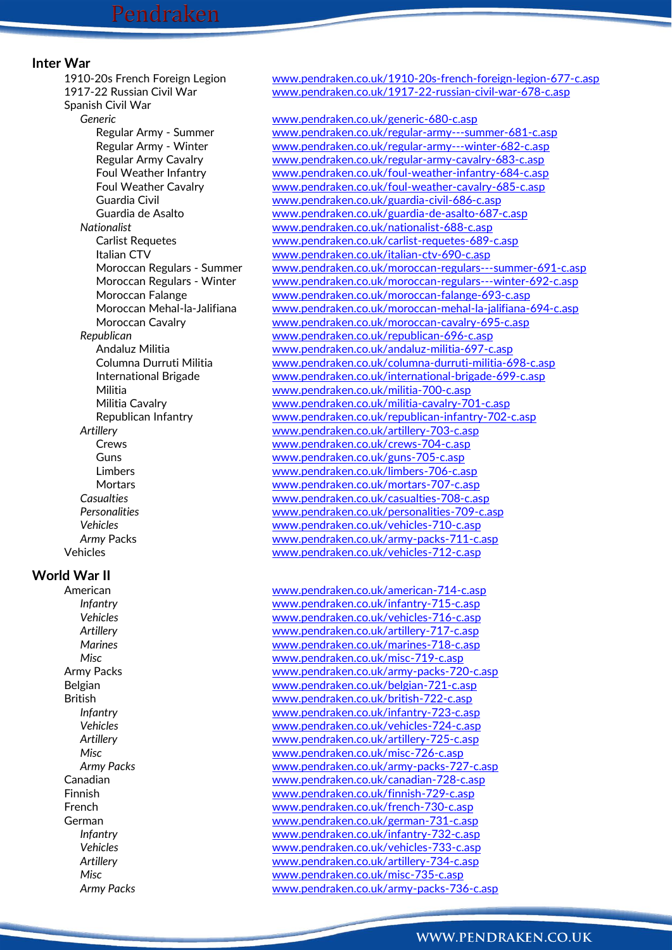### **Inter War**

Spanish Civil War *Generic* [www.pendraken.co.uk/generic-680-c.asp](http://www.pendraken.co.uk/generic-680-c.asp)

### **World War II**

1910-20s French Foreign Legion [www.pendraken.co.uk/1910-20s-french-foreign-legion-677-c.asp](http://www.pendraken.co.uk/1910-20s-french-foreign-legion-677-c.asp) 1917-22 Russian Civil War [www.pendraken.co.uk/1917-22-russian-civil-war-678-c.asp](http://www.pendraken.co.uk/1917-22-russian-civil-war-678-c.asp)

Regular Army - Summer [www.pendraken.co.uk/regular-army---summer-681-c.asp](http://www.pendraken.co.uk/regular-army---summer-681-c.asp) Regular Army - Winter [www.pendraken.co.uk/regular-army---winter-682-c.asp](http://www.pendraken.co.uk/regular-army---winter-682-c.asp) Regular Army Cavalry [www.pendraken.co.uk/regular-army-cavalry-683-c.asp](http://www.pendraken.co.uk/regular-army-cavalry-683-c.asp) Foul Weather Infantry [www.pendraken.co.uk/foul-weather-infantry-684-c.asp](http://www.pendraken.co.uk/foul-weather-infantry-684-c.asp) Foul Weather Cavalry [www.pendraken.co.uk/foul-weather-cavalry-685-c.asp](http://www.pendraken.co.uk/foul-weather-cavalry-685-c.asp) Guardia Civil [www.pendraken.co.uk/guardia-civil-686-c.asp](http://www.pendraken.co.uk/guardia-civil-686-c.asp) Guardia de Asalto [www.pendraken.co.uk/guardia-de-asalto-687-c.asp](http://www.pendraken.co.uk/guardia-de-asalto-687-c.asp) *Nationalist* [www.pendraken.co.uk/nationalist-688-c.asp](http://www.pendraken.co.uk/nationalist-688-c.asp) Carlist Requetes [www.pendraken.co.uk/carlist-requetes-689-c.asp](http://www.pendraken.co.uk/carlist-requetes-689-c.asp) Italian CTV [www.pendraken.co.uk/italian-ctv-690-c.asp](http://www.pendraken.co.uk/italian-ctv-690-c.asp) Moroccan Regulars - Summer [www.pendraken.co.uk/moroccan-regulars---summer-691-c.asp](http://www.pendraken.co.uk/moroccan-regulars---summer-691-c.asp) Moroccan Regulars - Winter [www.pendraken.co.uk/moroccan-regulars---winter-692-c.asp](http://www.pendraken.co.uk/moroccan-regulars---winter-692-c.asp) Moroccan Falange [www.pendraken.co.uk/moroccan-falange-693-c.asp](http://www.pendraken.co.uk/moroccan-falange-693-c.asp) Moroccan Mehal-la-Jalifiana [www.pendraken.co.uk/moroccan-mehal-la-jalifiana-694-c.asp](http://www.pendraken.co.uk/moroccan-mehal-la-jalifiana-694-c.asp) Moroccan Cavalry [www.pendraken.co.uk/moroccan-cavalry-695-c.asp](http://www.pendraken.co.uk/moroccan-cavalry-695-c.asp) *Republican* [www.pendraken.co.uk/republican-696-c.asp](http://www.pendraken.co.uk/republican-696-c.asp) Andaluz Militia [www.pendraken.co.uk/andaluz-militia-697-c.asp](http://www.pendraken.co.uk/andaluz-militia-697-c.asp) Columna Durruti Militia [www.pendraken.co.uk/columna-durruti-militia-698-c.asp](http://www.pendraken.co.uk/columna-durruti-militia-698-c.asp) International Brigade [www.pendraken.co.uk/international-brigade-699-c.asp](http://www.pendraken.co.uk/international-brigade-699-c.asp) Militia [www.pendraken.co.uk/militia-700-c.asp](http://www.pendraken.co.uk/militia-700-c.asp) Militia Cavalry [www.pendraken.co.uk/militia-cavalry-701-c.asp](http://www.pendraken.co.uk/militia-cavalry-701-c.asp) Republican Infantry [www.pendraken.co.uk/republican-infantry-702-c.asp](http://www.pendraken.co.uk/republican-infantry-702-c.asp) *Artillery* [www.pendraken.co.uk/artillery-703-c.asp](http://www.pendraken.co.uk/artillery-703-c.asp) Crews [www.pendraken.co.uk/crews-704-c.asp](http://www.pendraken.co.uk/crews-704-c.asp) Guns **Guns** [www.pendraken.co.uk/guns-705-c.asp](http://www.pendraken.co.uk/guns-705-c.asp) Limbers [www.pendraken.co.uk/limbers-706-c.asp](http://www.pendraken.co.uk/limbers-706-c.asp) Mortars [www.pendraken.co.uk/mortars-707-c.asp](http://www.pendraken.co.uk/mortars-707-c.asp) *Casualties* [www.pendraken.co.uk/casualties-708-c.asp](http://www.pendraken.co.uk/casualties-708-c.asp) *Personalities* [www.pendraken.co.uk/personalities-709-c.asp](http://www.pendraken.co.uk/personalities-709-c.asp) *Vehicles* [www.pendraken.co.uk/vehicles-710-c.asp](http://www.pendraken.co.uk/vehicles-710-c.asp) *Army* Packs [www.pendraken.co.uk/army-packs-711-c.asp](http://www.pendraken.co.uk/army-packs-711-c.asp) Vehicles [www.pendraken.co.uk/vehicles-712-c.asp](http://www.pendraken.co.uk/vehicles-712-c.asp)

American metal [www.pendraken.co.uk/american-714-c.asp](http://www.pendraken.co.uk/american-714-c.asp) *Infantry* [www.pendraken.co.uk/infantry-715-c.asp](http://www.pendraken.co.uk/infantry-715-c.asp) *Vehicles* [www.pendraken.co.uk/vehicles-716-c.asp](http://www.pendraken.co.uk/vehicles-716-c.asp) *Artillery* [www.pendraken.co.uk/artillery-717-c.asp](http://www.pendraken.co.uk/artillery-717-c.asp) *Marines* [www.pendraken.co.uk/marines-718-c.asp](http://www.pendraken.co.uk/marines-718-c.asp) *Misc* [www.pendraken.co.uk/misc-719-c.asp](http://www.pendraken.co.uk/misc-719-c.asp) Army Packs and the state [www.pendraken.co.uk/army-packs-720-c.asp](http://www.pendraken.co.uk/army-packs-720-c.asp) Belgian [www.pendraken.co.uk/belgian-721-c.asp](http://www.pendraken.co.uk/belgian-721-c.asp) British [www.pendraken.co.uk/british-722-c.asp](http://www.pendraken.co.uk/british-722-c.asp) *Infantry* [www.pendraken.co.uk/infantry-723-c.asp](http://www.pendraken.co.uk/infantry-723-c.asp) *Vehicles* [www.pendraken.co.uk/vehicles-724-c.asp](http://www.pendraken.co.uk/vehicles-724-c.asp) *Artillery* [www.pendraken.co.uk/artillery-725-c.asp](http://www.pendraken.co.uk/artillery-725-c.asp) *Misc* [www.pendraken.co.uk/misc-726-c.asp](http://www.pendraken.co.uk/misc-726-c.asp) *Army Packs* [www.pendraken.co.uk/army-packs-727-c.asp](http://www.pendraken.co.uk/army-packs-727-c.asp) Canadian [www.pendraken.co.uk/canadian-728-c.asp](http://www.pendraken.co.uk/canadian-728-c.asp) Finnish [www.pendraken.co.uk/finnish-729-c.asp](http://www.pendraken.co.uk/finnish-729-c.asp) French [www.pendraken.co.uk/french-730-c.asp](http://www.pendraken.co.uk/french-730-c.asp) German [www.pendraken.co.uk/german-731-c.asp](http://www.pendraken.co.uk/german-731-c.asp) *Infantry* [www.pendraken.co.uk/infantry-732-c.asp](http://www.pendraken.co.uk/infantry-732-c.asp) *Vehicles* [www.pendraken.co.uk/vehicles-733-c.asp](http://www.pendraken.co.uk/vehicles-733-c.asp) *Artillery* [www.pendraken.co.uk/artillery-734-c.asp](http://www.pendraken.co.uk/artillery-734-c.asp) *Misc* [www.pendraken.co.uk/misc-735-c.asp](http://www.pendraken.co.uk/misc-735-c.asp) *Army Packs* [www.pendraken.co.uk/army-packs-736-c.asp](http://www.pendraken.co.uk/army-packs-736-c.asp)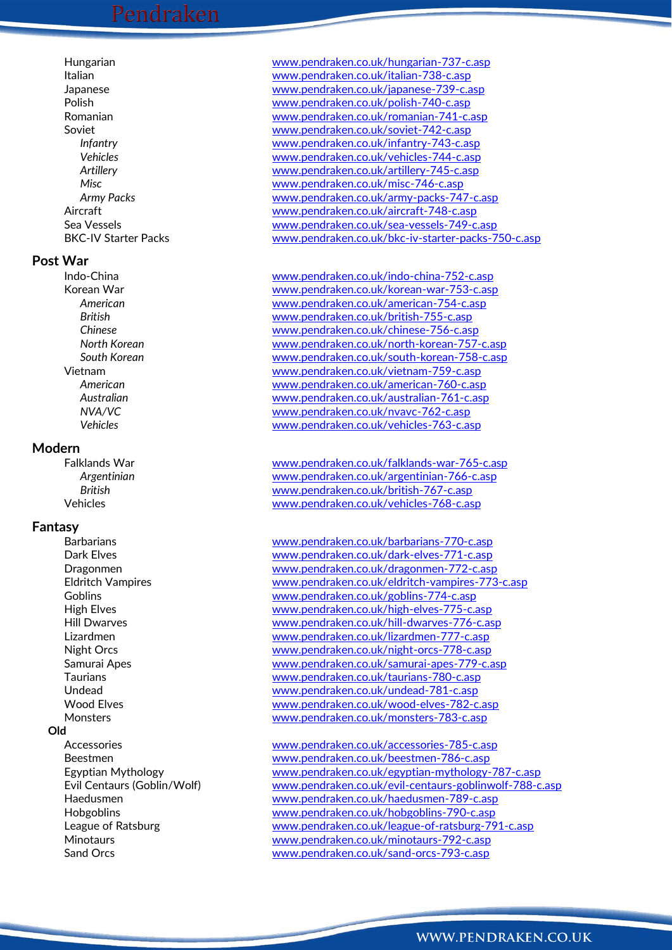# Pendraken

### **Post War**

### **Modern**

### **Fantasy**

### **Old**

Hungarian [www.pendraken.co.uk/hungarian-737-c.asp](http://www.pendraken.co.uk/hungarian-737-c.asp) Italian [www.pendraken.co.uk/italian-738-c.asp](http://www.pendraken.co.uk/italian-738-c.asp) Japanese [www.pendraken.co.uk/japanese-739-c.asp](http://www.pendraken.co.uk/japanese-739-c.asp) Polish [www.pendraken.co.uk/polish-740-c.asp](http://www.pendraken.co.uk/polish-740-c.asp) Romanian [www.pendraken.co.uk/romanian-741-c.asp](http://www.pendraken.co.uk/romanian-741-c.asp) Soviet [www.pendraken.co.uk/soviet-742-c.asp](http://www.pendraken.co.uk/soviet-742-c.asp) *Infantry* [www.pendraken.co.uk/infantry-743-c.asp](http://www.pendraken.co.uk/infantry-743-c.asp) *Vehicles* [www.pendraken.co.uk/vehicles-744-c.asp](http://www.pendraken.co.uk/vehicles-744-c.asp) *Artillery* [www.pendraken.co.uk/artillery-745-c.asp](http://www.pendraken.co.uk/artillery-745-c.asp) *Misc* [www.pendraken.co.uk/misc-746-c.asp](http://www.pendraken.co.uk/misc-746-c.asp) *Army Packs* [www.pendraken.co.uk/army-packs-747-c.asp](http://www.pendraken.co.uk/army-packs-747-c.asp) Aircraft [www.pendraken.co.uk/aircraft-748-c.asp](http://www.pendraken.co.uk/aircraft-748-c.asp) Sea Vessels [www.pendraken.co.uk/sea-vessels-749-c.asp](http://www.pendraken.co.uk/sea-vessels-749-c.asp) BKC-IV Starter Packs [www.pendraken.co.uk/bkc-iv-starter-packs-750-c.asp](http://www.pendraken.co.uk/bkc-iv-starter-packs-750-c.asp)

Indo-China [www.pendraken.co.uk/indo-china-752-c.asp](http://www.pendraken.co.uk/indo-china-752-c.asp) Korean War [www.pendraken.co.uk/korean-war-753-c.asp](http://www.pendraken.co.uk/korean-war-753-c.asp) *American* [www.pendraken.co.uk/american-754-c.asp](http://www.pendraken.co.uk/american-754-c.asp) *British* [www.pendraken.co.uk/british-755-c.asp](http://www.pendraken.co.uk/british-755-c.asp) *Chinese* [www.pendraken.co.uk/chinese-756-c.asp](http://www.pendraken.co.uk/chinese-756-c.asp) *North Korean* [www.pendraken.co.uk/north-korean-757-c.asp](http://www.pendraken.co.uk/north-korean-757-c.asp) *South Korean* [www.pendraken.co.uk/south-korean-758-c.asp](http://www.pendraken.co.uk/south-korean-758-c.asp) Vietnam [www.pendraken.co.uk/vietnam-759-c.asp](http://www.pendraken.co.uk/vietnam-759-c.asp) *American* [www.pendraken.co.uk/american-760-c.asp](http://www.pendraken.co.uk/american-760-c.asp) *Australian* [www.pendraken.co.uk/australian-761-c.asp](http://www.pendraken.co.uk/australian-761-c.asp) *NVA/VC* [www.pendraken.co.uk/nvavc-762-c.asp](http://www.pendraken.co.uk/nvavc-762-c.asp) *Vehicles* [www.pendraken.co.uk/vehicles-763-c.asp](http://www.pendraken.co.uk/vehicles-763-c.asp)

Falklands War [www.pendraken.co.uk/falklands-war-765-c.asp](http://www.pendraken.co.uk/falklands-war-765-c.asp) *Argentinian* [www.pendraken.co.uk/argentinian-766-c.asp](http://www.pendraken.co.uk/argentinian-766-c.asp) *British* [www.pendraken.co.uk/british-767-c.asp](http://www.pendraken.co.uk/british-767-c.asp) Vehicles [www.pendraken.co.uk/vehicles-768-c.asp](http://www.pendraken.co.uk/vehicles-768-c.asp)

Barbarians [www.pendraken.co.uk/barbarians-770-c.asp](http://www.pendraken.co.uk/barbarians-770-c.asp) Dark Elves [www.pendraken.co.uk/dark-elves-771-c.asp](http://www.pendraken.co.uk/dark-elves-771-c.asp) Dragonmen [www.pendraken.co.uk/dragonmen-772-c.asp](http://www.pendraken.co.uk/dragonmen-772-c.asp) Eldritch Vampires [www.pendraken.co.uk/eldritch-vampires-773-c.asp](http://www.pendraken.co.uk/eldritch-vampires-773-c.asp) Goblins [www.pendraken.co.uk/goblins-774-c.asp](http://www.pendraken.co.uk/goblins-774-c.asp) High Elves [www.pendraken.co.uk/high-elves-775-c.asp](http://www.pendraken.co.uk/high-elves-775-c.asp) Hill Dwarves [www.pendraken.co.uk/hill-dwarves-776-c.asp](http://www.pendraken.co.uk/hill-dwarves-776-c.asp) Lizardmen [www.pendraken.co.uk/lizardmen-777-c.asp](http://www.pendraken.co.uk/lizardmen-777-c.asp) Night Orcs [www.pendraken.co.uk/night-orcs-778-c.asp](http://www.pendraken.co.uk/night-orcs-778-c.asp) Samurai Apes [www.pendraken.co.uk/samurai-apes-779-c.asp](http://www.pendraken.co.uk/samurai-apes-779-c.asp) Taurians [www.pendraken.co.uk/taurians-780-c.asp](http://www.pendraken.co.uk/taurians-780-c.asp) Undead [www.pendraken.co.uk/undead-781-c.asp](http://www.pendraken.co.uk/undead-781-c.asp) Wood Elves [www.pendraken.co.uk/wood-elves-782-c.asp](http://www.pendraken.co.uk/wood-elves-782-c.asp) Monsters [www.pendraken.co.uk/monsters-783-c.asp](http://www.pendraken.co.uk/monsters-783-c.asp)

Accessories [www.pendraken.co.uk/accessories-785-c.asp](http://www.pendraken.co.uk/accessories-785-c.asp) Beestmen [www.pendraken.co.uk/beestmen-786-c.asp](http://www.pendraken.co.uk/beestmen-786-c.asp) Egyptian Mythology [www.pendraken.co.uk/egyptian-mythology-787-c.asp](http://www.pendraken.co.uk/egyptian-mythology-787-c.asp) Evil Centaurs (Goblin/Wolf) [www.pendraken.co.uk/evil-centaurs-goblinwolf-788-c.asp](http://www.pendraken.co.uk/evil-centaurs-goblinwolf-788-c.asp) Haedusmen [www.pendraken.co.uk/haedusmen-789-c.asp](http://www.pendraken.co.uk/haedusmen-789-c.asp) Hobgoblins [www.pendraken.co.uk/hobgoblins-790-c.asp](http://www.pendraken.co.uk/hobgoblins-790-c.asp) League of Ratsburg [www.pendraken.co.uk/league-of-ratsburg-791-c.asp](http://www.pendraken.co.uk/league-of-ratsburg-791-c.asp) Minotaurs [www.pendraken.co.uk/minotaurs-792-c.asp](http://www.pendraken.co.uk/minotaurs-792-c.asp) Sand Orcs [www.pendraken.co.uk/sand-orcs-793-c.asp](http://www.pendraken.co.uk/sand-orcs-793-c.asp)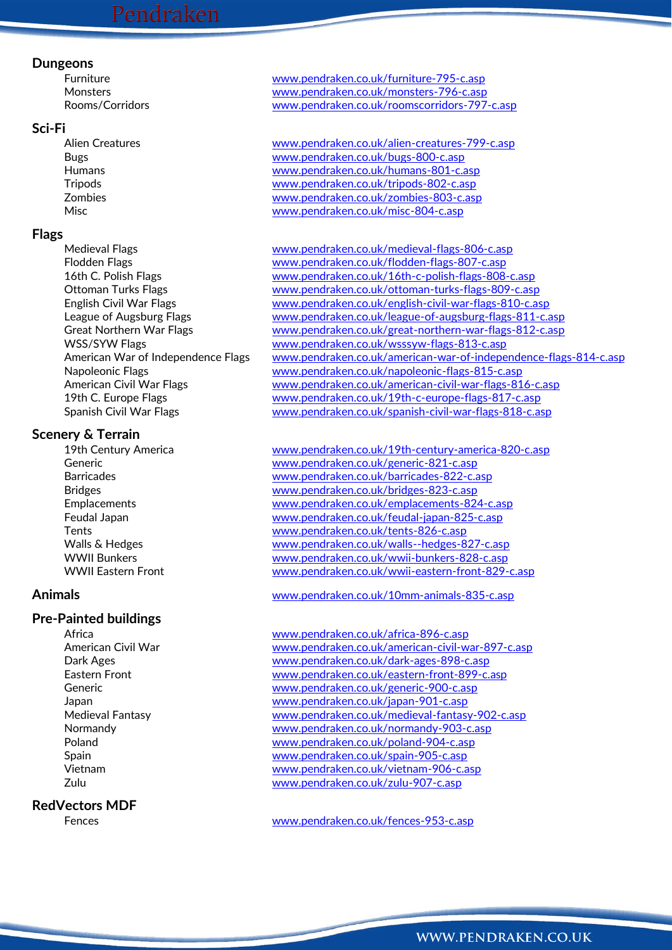### **Dungeons**

### **Sci-Fi**

### **Flags**

### **Scenery & Terrain**

### **Pre-Painted buildings**

### **RedVectors MDF**

Furniture [www.pendraken.co.uk/furniture-795-c.asp](http://www.pendraken.co.uk/furniture-795-c.asp) Monsters [www.pendraken.co.uk/monsters-796-c.asp](http://www.pendraken.co.uk/monsters-796-c.asp) Rooms/Corridors [www.pendraken.co.uk/roomscorridors-797-c.asp](http://www.pendraken.co.uk/roomscorridors-797-c.asp)

Alien Creatures [www.pendraken.co.uk/alien-creatures-799-c.asp](http://www.pendraken.co.uk/alien-creatures-799-c.asp)<br>
Rugs 800-c.asp<br>
www.pendraken.co.uk/bugs-800-c.asp Bugs [www.pendraken.co.uk/bugs-800-c.asp](http://www.pendraken.co.uk/bugs-800-c.asp) Humans [www.pendraken.co.uk/humans-801-c.asp](http://www.pendraken.co.uk/humans-801-c.asp) Tripods [www.pendraken.co.uk/tripods-802-c.asp](http://www.pendraken.co.uk/tripods-802-c.asp) Zombies [www.pendraken.co.uk/zombies-803-c.asp](http://www.pendraken.co.uk/zombies-803-c.asp) Misc [www.pendraken.co.uk/misc-804-c.asp](http://www.pendraken.co.uk/misc-804-c.asp)

Medieval Flags [www.pendraken.co.uk/medieval-flags-806-c.asp](http://www.pendraken.co.uk/medieval-flags-806-c.asp) Flodden Flags [www.pendraken.co.uk/flodden-flags-807-c.asp](http://www.pendraken.co.uk/flodden-flags-807-c.asp) 16th C. Polish Flags [www.pendraken.co.uk/16th-c-polish-flags-808-c.asp](http://www.pendraken.co.uk/16th-c-polish-flags-808-c.asp) Ottoman Turks Flags [www.pendraken.co.uk/ottoman-turks-flags-809-c.asp](http://www.pendraken.co.uk/ottoman-turks-flags-809-c.asp) English Civil War Flags [www.pendraken.co.uk/english-civil-war-flags-810-c.asp](http://www.pendraken.co.uk/english-civil-war-flags-810-c.asp) League of Augsburg Flags [www.pendraken.co.uk/league-of-augsburg-flags-811-c.asp](http://www.pendraken.co.uk/league-of-augsburg-flags-811-c.asp) Great Northern War Flags [www.pendraken.co.uk/great-northern-war-flags-812-c.asp](http://www.pendraken.co.uk/great-northern-war-flags-812-c.asp) WSS/SYW Flags [www.pendraken.co.uk/wsssyw-flags-813-c.asp](http://www.pendraken.co.uk/wsssyw-flags-813-c.asp) American War of Independence Flags [www.pendraken.co.uk/american-war-of-independence-flags-814-c.asp](http://www.pendraken.co.uk/american-war-of-independence-flags-814-c.asp) Napoleonic Flags [www.pendraken.co.uk/napoleonic-flags-815-c.asp](http://www.pendraken.co.uk/napoleonic-flags-815-c.asp) American Civil War Flags [www.pendraken.co.uk/american-civil-war-flags-816-c.asp](http://www.pendraken.co.uk/american-civil-war-flags-816-c.asp) 19th C. Europe Flags [www.pendraken.co.uk/19th-c-europe-flags-817-c.asp](http://www.pendraken.co.uk/19th-c-europe-flags-817-c.asp) Spanish Civil War Flags [www.pendraken.co.uk/spanish-civil-war-flags-818-c.asp](http://www.pendraken.co.uk/spanish-civil-war-flags-818-c.asp)

19th Century America [www.pendraken.co.uk/19th-century-america-820-c.asp](http://www.pendraken.co.uk/19th-century-america-820-c.asp) Generic [www.pendraken.co.uk/generic-821-c.asp](http://www.pendraken.co.uk/generic-821-c.asp) Barricades [www.pendraken.co.uk/barricades-822-c.asp](http://www.pendraken.co.uk/barricades-822-c.asp) Bridges [www.pendraken.co.uk/bridges-823-c.asp](http://www.pendraken.co.uk/bridges-823-c.asp) Emplacements [www.pendraken.co.uk/emplacements-824-c.asp](http://www.pendraken.co.uk/emplacements-824-c.asp) Feudal Japan [www.pendraken.co.uk/feudal-japan-825-c.asp](http://www.pendraken.co.uk/feudal-japan-825-c.asp) Tents [www.pendraken.co.uk/tents-826-c.asp](http://www.pendraken.co.uk/tents-826-c.asp) Walls & Hedges [www.pendraken.co.uk/walls--hedges-827-c.asp](http://www.pendraken.co.uk/walls--hedges-827-c.asp) WWII Bunkers [www.pendraken.co.uk/wwii-bunkers-828-c.asp](http://www.pendraken.co.uk/wwii-bunkers-828-c.asp) WWII Eastern Front [www.pendraken.co.uk/wwii-eastern-front-829-c.asp](http://www.pendraken.co.uk/wwii-eastern-front-829-c.asp)

**Animals** [www.pendraken.co.uk/10mm-animals-835-c.asp](http://www.pendraken.co.uk/10mm-animals-835-c.asp)

Africa **Mathematic Contract Contract Contract Contract Contract Contract Contract Contract Contract Contract Contract Contract Contract Contract Contract Contract Contract Contract Contract Contract Contract Contract Contr** American Civil War [www.pendraken.co.uk/american-civil-war-897-c.asp](http://www.pendraken.co.uk/american-civil-war-897-c.asp) Dark Ages [www.pendraken.co.uk/dark-ages-898-c.asp](http://www.pendraken.co.uk/dark-ages-898-c.asp) Eastern Front [www.pendraken.co.uk/eastern-front-899-c.asp](http://www.pendraken.co.uk/eastern-front-899-c.asp) Generic [www.pendraken.co.uk/generic-900-c.asp](http://www.pendraken.co.uk/generic-900-c.asp) Japan [www.pendraken.co.uk/japan-901-c.asp](http://www.pendraken.co.uk/japan-901-c.asp) Medieval Fantasy [www.pendraken.co.uk/medieval-fantasy-902-c.asp](http://www.pendraken.co.uk/medieval-fantasy-902-c.asp) Normandy [www.pendraken.co.uk/normandy-903-c.asp](http://www.pendraken.co.uk/normandy-903-c.asp) Poland [www.pendraken.co.uk/poland-904-c.asp](http://www.pendraken.co.uk/poland-904-c.asp) Spain [www.pendraken.co.uk/spain-905-c.asp](http://www.pendraken.co.uk/spain-905-c.asp) Vietnam [www.pendraken.co.uk/vietnam-906-c.asp](http://www.pendraken.co.uk/vietnam-906-c.asp) Zulu [www.pendraken.co.uk/zulu-907-c.asp](http://www.pendraken.co.uk/zulu-907-c.asp)

Fences [www.pendraken.co.uk/fences-953-c.asp](http://www.pendraken.co.uk/fences-953-c.asp)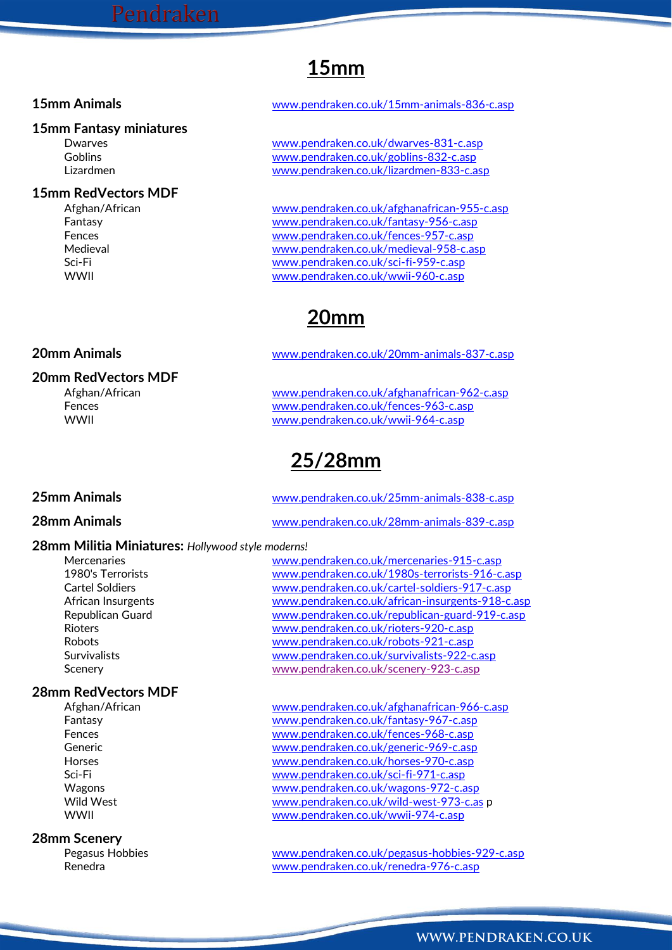# **15mm**

### **15mm Fantasy miniatures**

### **15mm RedVectors MDF**

**20mm RedVectors MDF**

### **15mm Animals** [www.pendraken.co.uk/15mm-animals-836-c.asp](http://www.pendraken.co.uk/15mm-animals-836-c.asp)

Dwarves [www.pendraken.co.uk/dwarves-831-c.asp](http://www.pendraken.co.uk/dwarves-831-c.asp) Goblins [www.pendraken.co.uk/goblins-832-c.asp](http://www.pendraken.co.uk/goblins-832-c.asp) Lizardmen [www.pendraken.co.uk/lizardmen-833-c.asp](http://www.pendraken.co.uk/lizardmen-833-c.asp)

Afghan/African [www.pendraken.co.uk/afghanafrican-955-c.asp](http://www.pendraken.co.uk/afghanafrican-955-c.asp) Fantasy [www.pendraken.co.uk/fantasy-956-c.asp](http://www.pendraken.co.uk/fantasy-956-c.asp) Fences [www.pendraken.co.uk/fences-957-c.asp](http://www.pendraken.co.uk/fences-957-c.asp) Medieval [www.pendraken.co.uk/medieval-958-c.asp](http://www.pendraken.co.uk/medieval-958-c.asp) Sci-Fi [www.pendraken.co.uk/sci-fi-959-c.asp](http://www.pendraken.co.uk/sci-fi-959-c.asp) WWII [www.pendraken.co.uk/wwii-960-c.asp](http://www.pendraken.co.uk/wwii-960-c.asp)

## **20mm**

### **20mm Animals** [www.pendraken.co.uk/20mm-animals-837-c.asp](http://www.pendraken.co.uk/20mm-animals-837-c.asp)

Afghan/African [www.pendraken.co.uk/afghanafrican-962-c.asp](http://www.pendraken.co.uk/afghanafrican-962-c.asp) Fences [www.pendraken.co.uk/fences-963-c.asp](http://www.pendraken.co.uk/fences-963-c.asp) WWII [www.pendraken.co.uk/wwii-964-c.asp](http://www.pendraken.co.uk/wwii-964-c.asp)

# **25/28mm**

### **25mm Animals** [www.pendraken.co.uk/25mm-animals-838-c.asp](http://www.pendraken.co.uk/25mm-animals-838-c.asp)

### **28mm Animals** [www.pendraken.co.uk/28mm-animals-839-c.asp](http://www.pendraken.co.uk/28mm-animals-839-c.asp)

### **28mm Militia Miniatures:** *Hollywood style moderns!*

# **28mm RedVectors MDF**

### **28mm Scenery**

Mercenaries [www.pendraken.co.uk/mercenaries-915-c.asp](http://www.pendraken.co.uk/mercenaries-915-c.asp) 1980's Terrorists [www.pendraken.co.uk/1980s-terrorists-916-c.asp](http://www.pendraken.co.uk/1980s-terrorists-916-c.asp) Cartel Soldiers [www.pendraken.co.uk/cartel-soldiers-917-c.asp](http://www.pendraken.co.uk/cartel-soldiers-917-c.asp) African Insurgents [www.pendraken.co.uk/african-insurgents-918-c.asp](http://www.pendraken.co.uk/african-insurgents-918-c.asp) Republican Guard [www.pendraken.co.uk/republican-guard-919-c.asp](http://www.pendraken.co.uk/republican-guard-919-c.asp) Rioters [www.pendraken.co.uk/rioters-920-c.asp](http://www.pendraken.co.uk/rioters-920-c.asp) Robots [www.pendraken.co.uk/robots-921-c.asp](http://www.pendraken.co.uk/robots-921-c.asp) Survivalists [www.pendraken.co.uk/survivalists-922-c.asp](http://www.pendraken.co.uk/survivalists-922-c.asp) Scenery [www.pendraken.co.uk/scenery-923-c.asp](http://www.pendraken.co.uk/scenery-923-c.asp)

[www.pendraken.co.uk/afghanafrican-966-c.asp](http://www.pendraken.co.uk/afghanafrican-966-c.asp) Fantasy [www.pendraken.co.uk/fantasy-967-c.asp](http://www.pendraken.co.uk/fantasy-967-c.asp) Fences [www.pendraken.co.uk/fences-968-c.asp](http://www.pendraken.co.uk/fences-968-c.asp) Generic [www.pendraken.co.uk/generic-969-c.asp](http://www.pendraken.co.uk/generic-969-c.asp) Horses [www.pendraken.co.uk/horses-970-c.asp](http://www.pendraken.co.uk/horses-970-c.asp) Sci-Fi [www.pendraken.co.uk/sci-fi-971-c.asp](http://www.pendraken.co.uk/sci-fi-971-c.asp) Wagons [www.pendraken.co.uk/wagons-972-c.asp](http://www.pendraken.co.uk/wagons-972-c.asp) Wild West [www.pendraken.co.uk/wild-west-973-c.as](http://www.pendraken.co.uk/wild-west-973-c.as) p WWII [www.pendraken.co.uk/wwii-974-c.asp](http://www.pendraken.co.uk/wwii-974-c.asp)

Pegasus Hobbies [www.pendraken.co.uk/pegasus-hobbies-929-c.asp](http://www.pendraken.co.uk/pegasus-hobbies-929-c.asp) Renedra [www.pendraken.co.uk/renedra-976-c.asp](http://www.pendraken.co.uk/renedra-976-c.asp)

### WWW.PENDRAKEN.CO.UK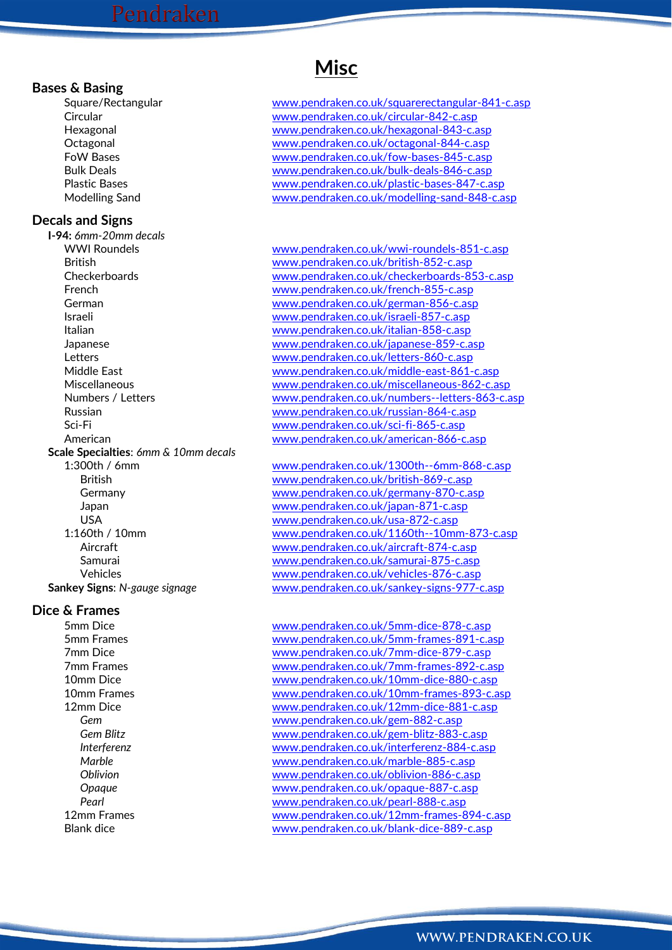### **Bases & Basing**

### **Decals and Signs**

**I-94:** *6mm-20mm decals* **Scale Specialties**: *6mm & 10mm decals*

### **Dice & Frames**

## **Misc**

Square/Rectangular [www.pendraken.co.uk/squarerectangular-841-c.asp](http://www.pendraken.co.uk/squarerectangular-841-c.asp) Circular [www.pendraken.co.uk/circular-842-c.asp](http://www.pendraken.co.uk/circular-842-c.asp) Hexagonal [www.pendraken.co.uk/hexagonal-843-c.asp](http://www.pendraken.co.uk/hexagonal-843-c.asp) Octagonal [www.pendraken.co.uk/octagonal-844-c.asp](http://www.pendraken.co.uk/octagonal-844-c.asp) FoW Bases [www.pendraken.co.uk/fow-bases-845-c.asp](http://www.pendraken.co.uk/fow-bases-845-c.asp) Bulk Deals [www.pendraken.co.uk/bulk-deals-846-c.asp](http://www.pendraken.co.uk/bulk-deals-846-c.asp) Plastic Bases [www.pendraken.co.uk/plastic-bases-847-c.asp](http://www.pendraken.co.uk/plastic-bases-847-c.asp) Modelling Sand [www.pendraken.co.uk/modelling-sand-848-c.asp](http://www.pendraken.co.uk/modelling-sand-848-c.asp)

WWI Roundels [www.pendraken.co.uk/wwi-roundels-851-c.asp](http://www.pendraken.co.uk/wwi-roundels-851-c.asp) British [www.pendraken.co.uk/british-852-c.asp](http://www.pendraken.co.uk/british-852-c.asp) Checkerboards [www.pendraken.co.uk/checkerboards-853-c.asp](http://www.pendraken.co.uk/checkerboards-853-c.asp) French [www.pendraken.co.uk/french-855-c.asp](http://www.pendraken.co.uk/french-855-c.asp) German [www.pendraken.co.uk/german-856-c.asp](http://www.pendraken.co.uk/german-856-c.asp) Israeli [www.pendraken.co.uk/israeli-857-c.asp](http://www.pendraken.co.uk/israeli-857-c.asp) Italian [www.pendraken.co.uk/italian-858-c.asp](http://www.pendraken.co.uk/italian-858-c.asp) Japanese [www.pendraken.co.uk/japanese-859-c.asp](http://www.pendraken.co.uk/japanese-859-c.asp) Letters [www.pendraken.co.uk/letters-860-c.asp](http://www.pendraken.co.uk/letters-860-c.asp) Middle East [www.pendraken.co.uk/middle-east-861-c.asp](http://www.pendraken.co.uk/middle-east-861-c.asp) Miscellaneous [www.pendraken.co.uk/miscellaneous-862-c.asp](http://www.pendraken.co.uk/miscellaneous-862-c.asp) Numbers / Letters [www.pendraken.co.uk/numbers--letters-863-c.asp](http://www.pendraken.co.uk/numbers--letters-863-c.asp) Russian [www.pendraken.co.uk/russian-864-c.asp](http://www.pendraken.co.uk/russian-864-c.asp) Sci-Fi [www.pendraken.co.uk/sci-fi-865-c.asp](http://www.pendraken.co.uk/sci-fi-865-c.asp) American [www.pendraken.co.uk/american-866-c.asp](http://www.pendraken.co.uk/american-866-c.asp)

1:300th / 6mm [www.pendraken.co.uk/1300th--6mm-868-c.asp](http://www.pendraken.co.uk/1300th--6mm-868-c.asp) British [www.pendraken.co.uk/british-869-c.asp](http://www.pendraken.co.uk/british-869-c.asp) Germany [www.pendraken.co.uk/germany-870-c.asp](http://www.pendraken.co.uk/germany-870-c.asp) Japan [www.pendraken.co.uk/japan-871-c.asp](http://www.pendraken.co.uk/japan-871-c.asp) USA [www.pendraken.co.uk/usa-872-c.asp](http://www.pendraken.co.uk/usa-872-c.asp) 1:160th / 10mm [www.pendraken.co.uk/1160th--10mm-873-c.asp](http://www.pendraken.co.uk/1160th--10mm-873-c.asp) Aircraft Micraft Www.pendraken.co.uk/aircraft-874-c.asp Samurai [www.pendraken.co.uk/samurai-875-c.asp](http://www.pendraken.co.uk/samurai-875-c.asp) Vehicles [www.pendraken.co.uk/vehicles-876-c.asp](http://www.pendraken.co.uk/vehicles-876-c.asp) **Sankey Signs**: *N-gauge signage* [www.pendraken.co.uk/sankey-signs-977-c.asp](http://www.pendraken.co.uk/sankey-signs-977-c.asp)

5mm Dice [www.pendraken.co.uk/5mm-dice-878-c.asp](http://www.pendraken.co.uk/5mm-dice-878-c.asp) 5mm Frames [www.pendraken.co.uk/5mm-frames-891-c.asp](http://www.pendraken.co.uk/5mm-frames-891-c.asp) 7mm Dice [www.pendraken.co.uk/7mm-dice-879-c.asp](http://www.pendraken.co.uk/7mm-dice-879-c.asp) 7mm Frames [www.pendraken.co.uk/7mm-frames-892-c.asp](http://www.pendraken.co.uk/7mm-frames-892-c.asp) 10mm Dice [www.pendraken.co.uk/10mm-dice-880-c.asp](http://www.pendraken.co.uk/10mm-dice-880-c.asp) 10mm Frames [www.pendraken.co.uk/10mm-frames-893-c.asp](http://www.pendraken.co.uk/10mm-frames-893-c.asp) 12mm Dice [www.pendraken.co.uk/12mm-dice-881-c.asp](http://www.pendraken.co.uk/12mm-dice-881-c.asp) *Gem* [www.pendraken.co.uk/gem-882-c.asp](http://www.pendraken.co.uk/gem-882-c.asp) *Gem Blitz* [www.pendraken.co.uk/gem-blitz-883-c.asp](http://www.pendraken.co.uk/gem-blitz-883-c.asp) *Interferenz* [www.pendraken.co.uk/interferenz-884-c.asp](http://www.pendraken.co.uk/interferenz-884-c.asp) *Marble* [www.pendraken.co.uk/marble-885-c.asp](http://www.pendraken.co.uk/marble-885-c.asp) *Oblivion* [www.pendraken.co.uk/oblivion-886-c.asp](http://www.pendraken.co.uk/oblivion-886-c.asp) *Opaque* [www.pendraken.co.uk/opaque-887-c.asp](http://www.pendraken.co.uk/opaque-887-c.asp) *Pearl* [www.pendraken.co.uk/pearl-888-c.asp](http://www.pendraken.co.uk/pearl-888-c.asp) 12mm Frames extending the two [www.pendraken.co.uk/12mm-frames-894-c.asp](http://www.pendraken.co.uk/12mm-frames-894-c.asp) Blank dice [www.pendraken.co.uk/blank-dice-889-c.asp](http://www.pendraken.co.uk/blank-dice-889-c.asp)